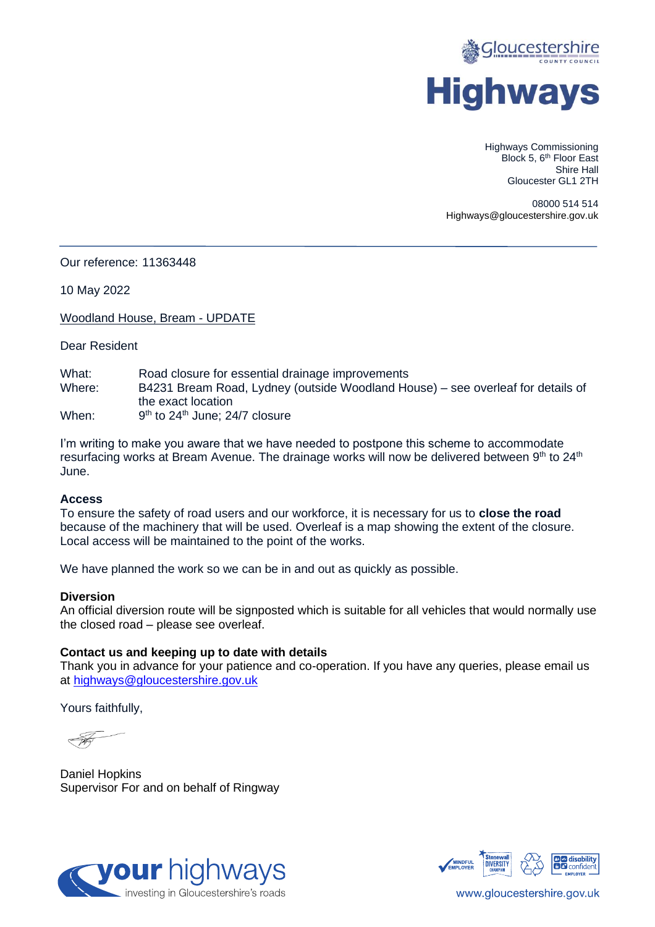

Highways Commissioning Block 5, 6<sup>th</sup> Floor East Shire Hall Gloucester GL1 2TH

08000 514 514 Highways@gloucestershire.gov.uk

Our reference: 11363448

10 May 2022

Woodland House, Bream - UPDATE

Dear Resident

What: Road closure for essential drainage improvements Where: B4231 Bream Road, Lydney (outside Woodland House) – see overleaf for details of the exact location When: 9<sup>th</sup> to 24<sup>th</sup> June; 24/7 closure

I'm writing to make you aware that we have needed to postpone this scheme to accommodate resurfacing works at Bream Avenue. The drainage works will now be delivered between 9th to 24<sup>th</sup> June.

## **Access**

To ensure the safety of road users and our workforce, it is necessary for us to **close the road** because of the machinery that will be used. Overleaf is a map showing the extent of the closure. Local access will be maintained to the point of the works.

We have planned the work so we can be in and out as quickly as possible.

## **Diversion**

An official diversion route will be signposted which is suitable for all vehicles that would normally use the closed road – please see overleaf.

## **Contact us and keeping up to date with details**

Thank you in advance for your patience and co-operation. If you have any queries, please email us at [highways@gloucestershire.gov.uk](mailto:highways@gloucestershire.gov.uk)

Yours faithfully,

Daniel Hopkins Supervisor For and on behalf of Ringway





www.gloucestershire.gov.uk